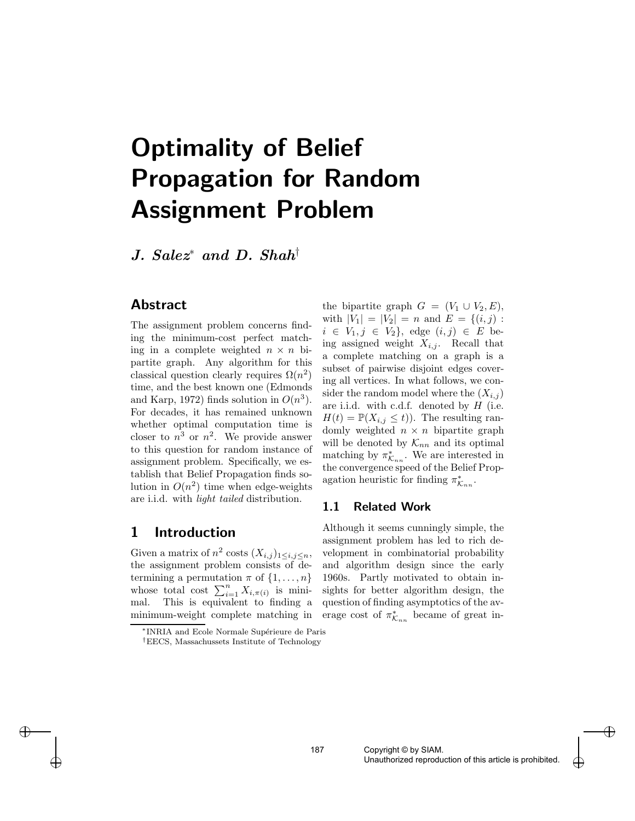# Optimality of Belief Propagation for Random Assignment Problem

J. Salez<sup>∗</sup> and D. Shah†

#### Abstract

The assignment problem concerns finding the minimum-cost perfect matching in a complete weighted  $n \times n$  bipartite graph. Any algorithm for this classical question clearly requires  $\Omega(n^2)$ time, and the best known one (Edmonds and Karp, 1972) finds solution in  $O(n^3)$ . For decades, it has remained unknown whether optimal computation time is closer to  $n^3$  or  $n^2$ . We provide answer to this question for random instance of assignment problem. Specifically, we establish that Belief Propagation finds solution in  $O(n^2)$  time when edge-weights are i.i.d. with light tailed distribution.

## 1 Introduction

 $\rightarrow$ 

✐

Given a matrix of  $n^2$  costs  $(X_{i,j})_{1 \leq i,j \leq n}$ , the assignment problem consists of determining a permutation  $\pi$  of  $\{1, \ldots, n\}$ whose total cost  $\sum_{i=1}^{n} X_{i,\pi(i)}$  is minimal. This is equivalent to finding a minimum-weight complete matching in

the bipartite graph  $G = (V_1 \cup V_2, E)$ , with  $|V_1| = |V_2| = n$  and  $E = \{(i, j):$  $i \in V_1, j \in V_2$ , edge  $(i, j) \in E$  being assigned weight  $X_{i,j}$ . Recall that a complete matching on a graph is a subset of pairwise disjoint edges covering all vertices. In what follows, we consider the random model where the  $(X_{i,j})$ are i.i.d. with c.d.f. denoted by  $H$  (i.e.  $H(t) = \mathbb{P}(X_{i,j} \leq t)$ . The resulting randomly weighted  $n \times n$  bipartite graph will be denoted by  $\mathcal{K}_{nn}$  and its optimal matching by  $\pi^*_{\mathcal{K}_{nn}}$ . We are interested in the convergence speed of the Belief Propagation heuristic for finding  $\pi_{\mathcal{K}_{nn}}^*$ .

#### 1.1 Related Work

Although it seems cunningly simple, the assignment problem has led to rich development in combinatorial probability and algorithm design since the early 1960s. Partly motivated to obtain insights for better algorithm design, the question of finding asymptotics of the average cost of  $\pi^*_{\mathcal{K}_{nn}}$  became of great in-

 $\bigoplus$ 

<sup>\*</sup>INRIA and Ecole Normale Supérieure de Paris

<sup>†</sup>EECS, Massachussets Institute of Technology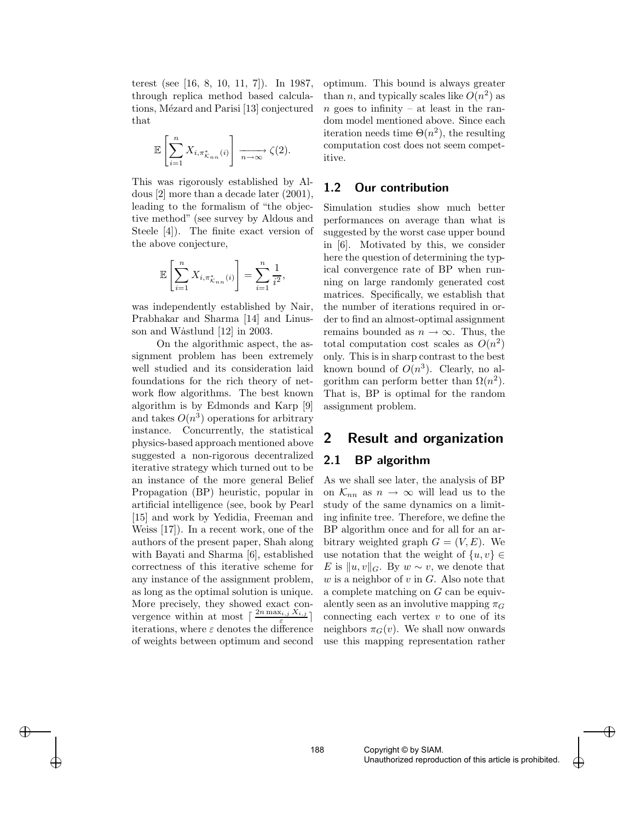terest (see [16, 8, 10, 11, 7]). In 1987, through replica method based calculations, Mézard and Parisi [13] conjectured that

$$
\mathbb{E}\left[\sum_{i=1}^n X_{i,\pi_{\mathcal{K}_{nn}}^*(i)}\right] \xrightarrow[n \to \infty]{} \zeta(2).
$$

This was rigorously established by Aldous [2] more than a decade later (2001), leading to the formalism of "the objective method" (see survey by Aldous and Steele [4]). The finite exact version of the above conjecture,

$$
\mathbb{E}\left[\sum_{i=1}^{n} X_{i,\pi_{\mathcal{K}_{nn}}^{*}(i)}\right] = \sum_{i=1}^{n} \frac{1}{i^{2}},
$$

was independently established by Nair, Prabhakar and Sharma [14] and Linusson and Wastlund [12] in 2003.

On the algorithmic aspect, the assignment problem has been extremely well studied and its consideration laid foundations for the rich theory of network flow algorithms. The best known algorithm is by Edmonds and Karp [9] and takes  $O(n^3)$  operations for arbitrary instance. Concurrently, the statistical physics-based approach mentioned above suggested a non-rigorous decentralized iterative strategy which turned out to be an instance of the more general Belief Propagation (BP) heuristic, popular in artificial intelligence (see, book by Pearl [15] and work by Yedidia, Freeman and Weiss [17]). In a recent work, one of the authors of the present paper, Shah along with Bayati and Sharma [6], established correctness of this iterative scheme for any instance of the assignment problem, as long as the optimal solution is unique. More precisely, they showed exact convergence within at most  $\lceil \frac{2n \max_{i,j} X_{i,j}}{\cdots} \rceil$ iterations, where  $\varepsilon$  denotes the difference of weights between optimum and second

 $\rightarrow$ 

✐

optimum. This bound is always greater than *n*, and typically scales like  $O(n^2)$  as  $n$  goes to infinity – at least in the random model mentioned above. Since each iteration needs time  $\Theta(n^2)$ , the resulting computation cost does not seem competitive.

#### 1.2 Our contribution

Simulation studies show much better performances on average than what is suggested by the worst case upper bound in [6]. Motivated by this, we consider here the question of determining the typical convergence rate of BP when running on large randomly generated cost matrices. Specifically, we establish that the number of iterations required in order to find an almost-optimal assignment remains bounded as  $n \to \infty$ . Thus, the total computation cost scales as  $O(n^2)$ only. This is in sharp contrast to the best known bound of  $O(n^3)$ . Clearly, no algorithm can perform better than  $\Omega(n^2)$ . That is, BP is optimal for the random assignment problem.

# 2 Result and organization

### 2.1 BP algorithm

As we shall see later, the analysis of BP on  $\mathcal{K}_{nn}$  as  $n \to \infty$  will lead us to the study of the same dynamics on a limiting infinite tree. Therefore, we define the BP algorithm once and for all for an arbitrary weighted graph  $G = (V, E)$ . We use notation that the weight of  $\{u, v\} \in$ E is  $||u, v||_G$ . By  $w \sim v$ , we denote that  $w$  is a neighbor of  $v$  in  $G$ . Also note that a complete matching on G can be equivalently seen as an involutive mapping  $\pi_G$ connecting each vertex  $v$  to one of its neighbors  $\pi_G(v)$ . We shall now onwards use this mapping representation rather

 $\bigoplus$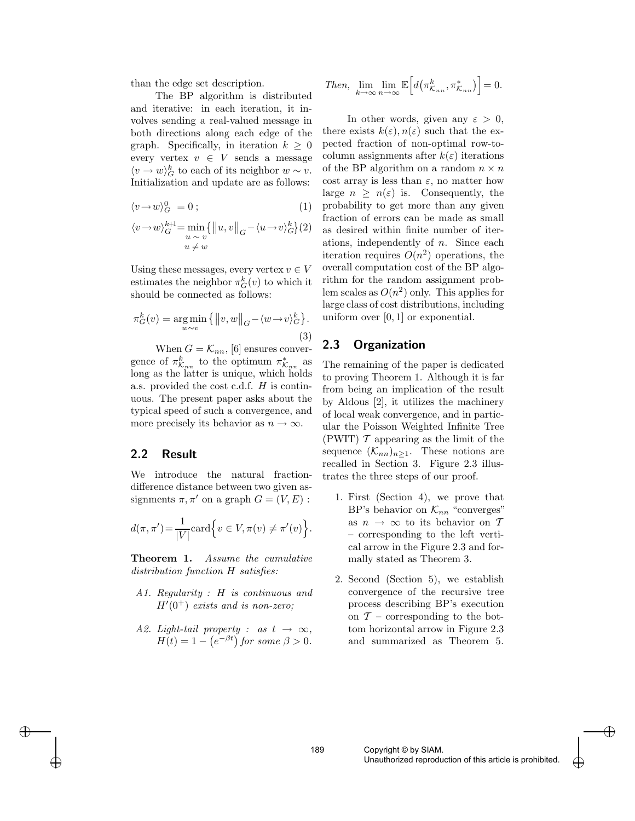than the edge set description.

The BP algorithm is distributed and iterative: in each iteration, it involves sending a real-valued message in both directions along each edge of the graph. Specifically, in iteration  $k \geq 0$ every vertex  $v \in V$  sends a message  $\langle v \to w \rangle_G^k$  to each of its neighbor  $w \sim v$ . Initialization and update are as follows:

$$
\langle v \rightarrow w \rangle_G^0 = 0 \tag{1}
$$

$$
\langle v \rightarrow w \rangle_G^{k+1} = \min_{\substack{u \sim v \\ u \neq w}} \{ ||u, v||_G - \langle u \rightarrow v \rangle_G^k \} (2)
$$

Using these messages, every vertex  $v \in V$ estimates the neighbor  $\pi_G^k(v)$  to which it should be connected as follows:

$$
\pi_G^k(v) = \underset{w \sim v}{\arg \min} \{ ||v, w||_G - \langle w \to v \rangle_G^k \}. \tag{3}
$$

When  $G = \mathcal{K}_{nn}$ , [6] ensures convergence of  $\pi_{\mathcal{K}_{nn}}^k$  to the optimum  $\pi_{\mathcal{K}_{nn}}^*$  as long as the latter is unique, which holds a.s. provided the cost c.d.f. H is continuous. The present paper asks about the typical speed of such a convergence, and more precisely its behavior as  $n \to \infty$ .

#### 2.2 Result

 $\rightarrow$ 

✐

We introduce the natural fractiondifference distance between two given assignments  $\pi, \pi'$  on a graph  $G = (V, E)$ :

$$
d(\pi, \pi') = \frac{1}{|V|} \operatorname{card} \left\{ v \in V, \pi(v) \neq \pi'(v) \right\}.
$$

Theorem 1. Assume the cumulative distribution function H satisfies:

- A1. Regularity : H is continuous and  $H'(0^+)$  exists and is non-zero;
- A2. Light-tail property : as  $t \to \infty$ ,  $H(t) = 1 - (e^{-\beta t})$  for some  $\beta > 0$ .

Then, 
$$
\lim_{k \to \infty} \lim_{n \to \infty} \mathbb{E}\left[d\left(\pi^k_{\mathcal{K}_{nn}}, \pi^*_{\mathcal{K}_{nn}}\right)\right] = 0.
$$

In other words, given any  $\varepsilon > 0$ , there exists  $k(\varepsilon), n(\varepsilon)$  such that the expected fraction of non-optimal row-tocolumn assignments after  $k(\varepsilon)$  iterations of the BP algorithm on a random  $n \times n$ cost array is less than  $\varepsilon$ , no matter how large  $n \geq n(\varepsilon)$  is. Consequently, the probability to get more than any given fraction of errors can be made as small as desired within finite number of iterations, independently of n. Since each iteration requires  $O(n^2)$  operations, the overall computation cost of the BP algorithm for the random assignment problem scales as  $O(n^2)$  only. This applies for large class of cost distributions, including uniform over  $[0,1]$  or exponential.

#### 2.3 Organization

The remaining of the paper is dedicated to proving Theorem 1. Although it is far from being an implication of the result by Aldous [2], it utilizes the machinery of local weak convergence, and in particular the Poisson Weighted Infinite Tree (PWIT)  $\mathcal T$  appearing as the limit of the sequence  $(\mathcal{K}_{nn})_{n\geq 1}$ . These notions are recalled in Section 3. Figure 2.3 illustrates the three steps of our proof.

- 1. First (Section 4), we prove that BP's behavior on  $\mathcal{K}_{nn}$  "converges" as  $n \to \infty$  to its behavior on T – corresponding to the left vertical arrow in the Figure 2.3 and formally stated as Theorem 3.
- 2. Second (Section 5), we establish convergence of the recursive tree process describing BP's execution on  $\mathcal{T}$  – corresponding to the bottom horizontal arrow in Figure 2.3 and summarized as Theorem 5.

 $\bigoplus$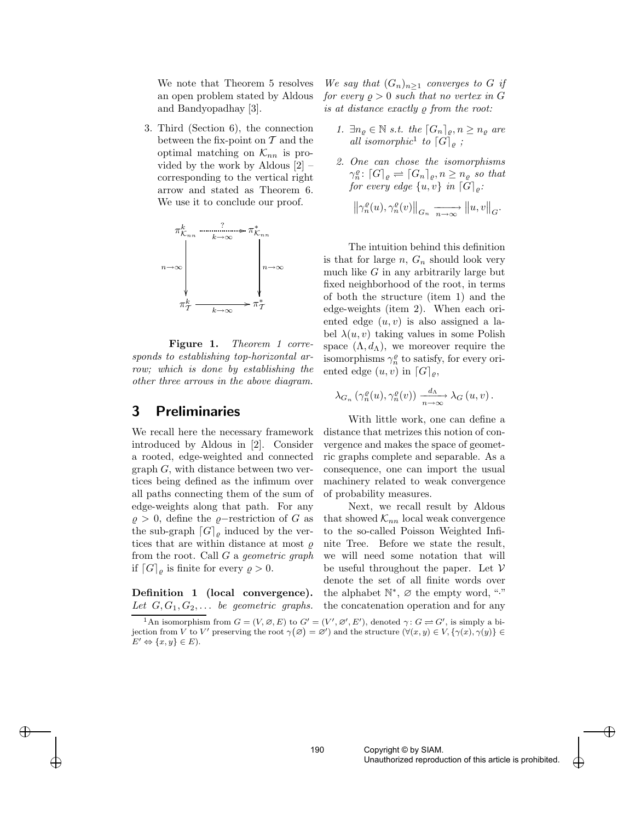We note that Theorem 5 resolves an open problem stated by Aldous and Bandyopadhay [3].

3. Third (Section 6), the connection between the fix-point on  $\mathcal T$  and the optimal matching on  $\mathcal{K}_{nn}$  is provided by the work by Aldous [2] – corresponding to the vertical right arrow and stated as Theorem 6. We use it to conclude our proof.



Figure 1. Theorem 1 corresponds to establishing top-horizontal arrow; which is done by establishing the other three arrows in the above diagram.

# 3 Preliminaries

We recall here the necessary framework introduced by Aldous in [2]. Consider a rooted, edge-weighted and connected graph G, with distance between two vertices being defined as the infimum over all paths connecting them of the sum of edge-weights along that path. For any  $\varrho > 0$ , define the  $\varrho$ -restriction of G as the sub-graph  $[G]_{\rho}$  induced by the vertices that are within distance at most  $\rho$ from the root. Call  $G$  a geometric graph if  $[G]_{\varrho}$  is finite for every  $\varrho > 0$ .

Definition 1 (local convergence). Let  $G, G_1, G_2, \ldots$  be geometric graphs.

 $\rightarrow$ 

✐

We say that  $(G_n)_{n\geq 1}$  converges to G if for every  $\rho > 0$  such that no vertex in G is at distance exactly  $\rho$  from the root:

- 1.  $\exists n_{\varrho} \in \mathbb{N} \ s.t. \ the \ \lceil G_n \rceil_{\varrho}, n \geq n_{\varrho} \ are$ all isomorphic<sup>1</sup> to  $[G]_g$ ;
- 2. One can chose the isomorphisms  $\gamma_n^{\varrho} : [G]_{\varrho} \rightleftharpoons [G_n]_{\varrho}, n \geq n_{\varrho}$  so that for every edge  $\{u, v\}$  in  $[G]_{\rho}$ :  $\left\|\gamma_{n}^{\varrho}(u),\gamma_{n}^{\varrho}(v)\right\|_{G_{n}} \xrightarrow[n \to \infty]{} \|u,v\|_{G}.$

The intuition behind this definition is that for large  $n, G_n$  should look very much like  $G$  in any arbitrarily large but fixed neighborhood of the root, in terms of both the structure (item 1) and the edge-weights (item 2). When each oriented edge  $(u, v)$  is also assigned a label  $\lambda(u, v)$  taking values in some Polish space  $(\Lambda, d_{\Lambda})$ , we moreover require the isomorphisms  $\gamma_n^{\varrho}$  to satisfy, for every oriented edge  $(u, v)$  in  $[G]_{\rho}$ ,

$$
\lambda_{G_n} \left( \gamma_n^{\varrho}(u), \gamma_n^{\varrho}(v) \right) \xrightarrow[n \to \infty]{d_{\Lambda}} \lambda_G(u, v).
$$

With little work, one can define a distance that metrizes this notion of convergence and makes the space of geometric graphs complete and separable. As a consequence, one can import the usual machinery related to weak convergence of probability measures.

Next, we recall result by Aldous that showed  $\mathcal{K}_{nn}$  local weak convergence to the so-called Poisson Weighted Infinite Tree. Before we state the result, we will need some notation that will be useful throughout the paper. Let  $V$ denote the set of all finite words over the alphabet  $\mathbb{N}^*, \varnothing$  the empty word, "." the concatenation operation and for any

 $\bigoplus$ 

<sup>&</sup>lt;sup>1</sup>An isomorphism from  $G = (V, \emptyset, E)$  to  $G' = (V', \emptyset', E')$ , denoted  $\gamma : G \rightleftharpoons G'$ , is simply a bijection from V to V' preserving the root  $\gamma(\emptyset) = \emptyset'$  and the structure  $(\forall (x, y) \in V, {\gamma(x), \gamma(y)} \in$  $E' \Leftrightarrow \{x, y\} \in E$ ).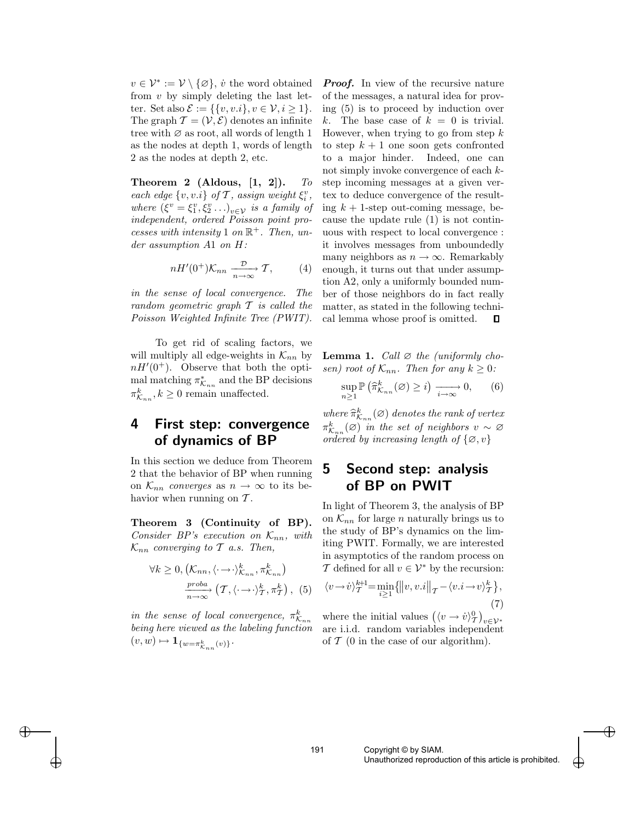$v \in \mathcal{V}^* := \mathcal{V} \setminus \{\varnothing\}, \, \dot{v}$  the word obtained from v by simply deleting the last letter. Set also  $\mathcal{E} := \{\{v, v.i\}, v \in \mathcal{V}, i \geq 1\}.$ The graph  $\mathcal{T} = (\mathcal{V}, \mathcal{E})$  denotes an infinite tree with  $\varnothing$  as root, all words of length 1 as the nodes at depth 1, words of length 2 as the nodes at depth 2, etc.

Theorem 2 (Aldous,  $[1, 2]$ ). To each edge  $\{v, v.i\}$  of  $\mathcal T$ , assign weight  $\xi_i^v$ , where  $(\xi^v = \xi_1^v, \xi_2^v \ldots)_{v \in \mathcal{V}}$  is a family of independent, ordered Poisson point processes with intensity 1 on  $\mathbb{R}^+$ . Then, under assumption A1 on H:

$$
nH'(0^+)\mathcal{K}_{nn} \xrightarrow[n \to \infty]{\mathcal{D}} \mathcal{T}, \qquad (4)
$$

in the sense of local convergence. The random geometric graph T is called the Poisson Weighted Infinite Tree (PWIT).

To get rid of scaling factors, we will multiply all edge-weights in  $\mathcal{K}_{nn}$  by  $nH'(0^+)$ . Observe that both the optimal matching  $\pi^*_{\mathcal{K}_{nn}}$  and the BP decisions  $\pi_{\mathcal{K}_{nn}}^k, k \geq 0$  remain unaffected.

### 4 First step: convergence of dynamics of BP

In this section we deduce from Theorem 2 that the behavior of BP when running on  $\mathcal{K}_{nn}$  converges as  $n \to \infty$  to its behavior when running on  $\mathcal T$ .

Theorem 3 (Continuity of BP). Consider BP's execution on  $\mathcal{K}_{nn}$ , with  $\mathcal{K}_{nn}$  converging to T a.s. Then,

$$
\forall k \ge 0, \left(\mathcal{K}_{nn}, \langle \cdot \to \cdot \rangle_{\mathcal{K}_{nn}}^k, \pi_{\mathcal{K}_{nn}}^k\right) \\
\xrightarrow[n \to \infty]{\text{proba}} \left(\mathcal{T}, \langle \cdot \to \cdot \rangle_{\mathcal{T}}^k, \pi_{\mathcal{T}}^k\right), \tag{5}
$$

in the sense of local convergence,  $\pi^k_{\mathcal{K}_{nn}}$ being here viewed as the labeling function  $\label{eq:psi} (v,w) \mapsto \mathbf{1}_{\{w=\pi_{\mathcal{K}_{nn}}^k(v)\}}.$ 

 $\rightarrow$ 

✐

**Proof.** In view of the recursive nature of the messages, a natural idea for proving (5) is to proceed by induction over k. The base case of  $k = 0$  is trivial. However, when trying to go from step  $k$ to step  $k+1$  one soon gets confronted to a major hinder. Indeed, one can not simply invoke convergence of each  $k$ step incoming messages at a given vertex to deduce convergence of the resulting  $k + 1$ -step out-coming message, because the update rule (1) is not continuous with respect to local convergence : it involves messages from unboundedly many neighbors as  $n \to \infty$ . Remarkably enough, it turns out that under assumption A2, only a uniformly bounded number of those neighbors do in fact really matter, as stated in the following technical lemma whose proof is omitted.  $\Box$ 

**Lemma 1.** Call  $\varnothing$  the (uniformly chosen) root of  $\mathcal{K}_{nn}$ . Then for any  $k \geq 0$ :

$$
\sup_{n\geq 1} \mathbb{P}\left(\widehat{\pi}_{\mathcal{K}_{nn}}^k(\varnothing) \geq i\right) \xrightarrow[i \to \infty]{} 0,\qquad(6)
$$

where  $\widehat{\pi}_{K_{nn}}^k(\varnothing)$  denotes the rank of vertex  $\pi^k_{\mathcal{K}_{nn}}(\varnothing)$  in the set of neighbors  $v \sim \varnothing$ ordered by increasing length of  $\{\varnothing, v\}$ 

# 5 Second step: analysis of BP on PWIT

In light of Theorem 3, the analysis of BP on  $\mathcal{K}_{nn}$  for large *n* naturally brings us to the study of BP's dynamics on the limiting PWIT. Formally, we are interested in asymptotics of the random process on T defined for all  $v \in \mathcal{V}^*$  by the recursion:

$$
\langle v \rightarrow v \rangle_{\mathcal{T}}^{k+1} = \min_{i \ge 1} \{ ||v, v.i||_{\mathcal{T}} - \langle v.i \rightarrow v \rangle_{\mathcal{T}}^{k} \},\tag{7}
$$

where the initial values  $(\langle v \rightarrow v \rangle_T^0)_{v \in V^*}$ are i.i.d. random variables independent of  $\mathcal T$  (0 in the case of our algorithm).

 $\bigoplus$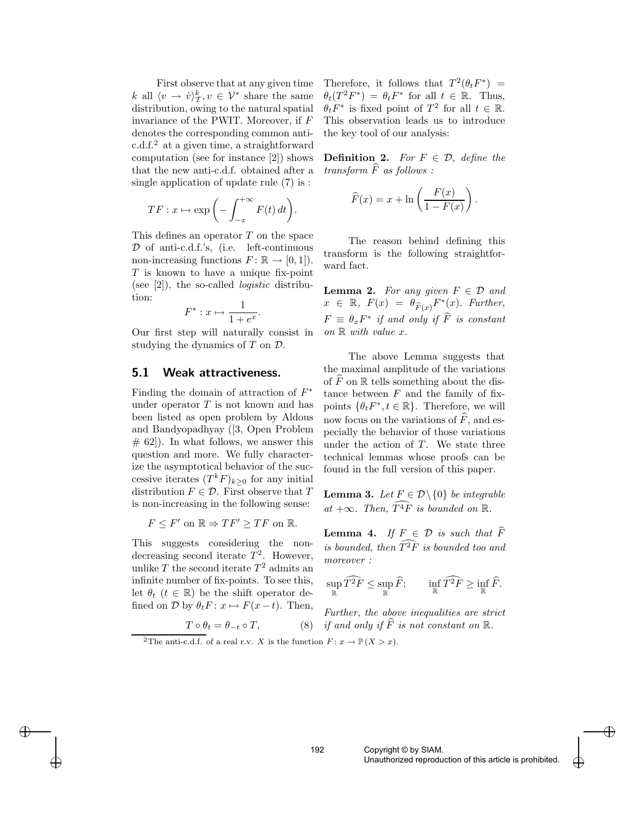First observe that at any given time k all  $\langle v \to \dot{v} \rangle^k_{\mathcal{T}}, v \in \mathcal{V}^*$  share the same distribution, owing to the natural spatial invariance of the PWIT. Moreover, if F denotes the corresponding common antic.d.f.<sup>2</sup> at a given time, a straightforward computation (see for instance [2]) shows that the new anti-c.d.f. obtained after a single application of update rule (7) is :

$$
TF: x \mapsto \exp\left(-\int_{-x}^{+\infty} F(t) dt\right).
$$

This defines an operator T on the space D of anti-c.d.f.'s, (i.e. left-continuous non-increasing functions  $F: \mathbb{R} \to [0,1]$ . T is known to have a unique fix-point (see  $[2]$ ), the so-called *logistic* distribution:

$$
F^*: x \mapsto \frac{1}{1 + e^x}.
$$

Our first step will naturally consist in studying the dynamics of  $T$  on  $\mathcal{D}$ .

#### 5.1 Weak attractiveness.

Finding the domain of attraction of  $F^*$ under operator T is not known and has been listed as open problem by Aldous and Bandyopadhyay ([3, Open Problem  $# 62$ ). In what follows, we answer this question and more. We fully characterize the asymptotical behavior of the successive iterates  $(T^k F)_{k>0}$  for any initial distribution  $F \in \mathcal{D}$ . First observe that T is non-increasing in the following sense:

$$
F \leq F' \text{ on } \mathbb{R} \Rightarrow TF' \geq TF \text{ on } \mathbb{R}.
$$

This suggests considering the nondecreasing second iterate  $T^2$ . However, unlike  $T$  the second iterate  $T^2$  admits an infinite number of fix-points. To see this, let  $\theta_t$  ( $t \in \mathbb{R}$ ) be the shift operator defined on  $\mathcal D$  by  $\theta_t F: x \mapsto F(x-t)$ . Then,

 $\rightarrow$ 

✐

Therefore, it follows that  $T^2(\theta_t F^*)$  =  $\theta_t(T^2 F^*) = \theta_t F^*$  for all  $t \in \mathbb{R}$ . Thus,  $\theta_t F^*$  is fixed point of  $T^2$  for all  $t \in \mathbb{R}$ . This observation leads us to introduce the key tool of our analysis:

**Definition 2.** For  $F \in \mathcal{D}$ , define the  $transform \ F \ as \ follows:$ 

$$
\widehat{F}(x) = x + \ln\left(\frac{F(x)}{1 - F(x)}\right).
$$

The reason behind defining this transform is the following straightforward fact.

**Lemma 2.** For any given  $F \in \mathcal{D}$  and  $x \in \mathbb{R}, F(x) = \theta_{\widehat{F}(x)} F^*(x)$ . Further,  $F \equiv \theta_x F^*$  if and only if  $\widehat{F}$  is constant on  $\mathbb R$  with value  $x$ .

The above Lemma suggests that the maximal amplitude of the variations of  $\widehat{F}$  on  $\mathbb R$  tells something about the distance between  $F$  and the family of fixpoints  $\{\theta_t F^*, t \in \mathbb{R}\}$ . Therefore, we will now focus on the variations of  $F$ , and especially the behavior of those variations under the action of  $T$ . We state three technical lemmas whose proofs can be found in the full version of this paper.

**Lemma 3.** Let  $F \in \mathcal{D} \setminus \{0\}$  be integrable at  $+\infty$ . Then,  $\widehat{T^4F}$  is bounded on  $\mathbb{R}$ .

**Lemma 4.** If  $F \in \mathcal{D}$  is such that F is bounded, then  $T^2F$  is bounded too and moreover :

$$
\sup_{\mathbb{R}} \widehat{T^2F} \leq \sup_{\mathbb{R}} \widehat{F}; \qquad \inf_{\mathbb{R}} \widehat{T^2F} \geq \inf_{\mathbb{R}} \widehat{F}.
$$

Further, the above inequalities are strict if and only if  $\widehat{F}$  is not constant on  $\mathbb{R}$ .

<sup>2</sup>The anti-c.d.f. of a real r.v. X is the function  $F: x \to \mathbb{P}(X > x)$ .

 $T \circ \theta_t = \theta_{-t} \circ T,$  (8)

 $\bigoplus$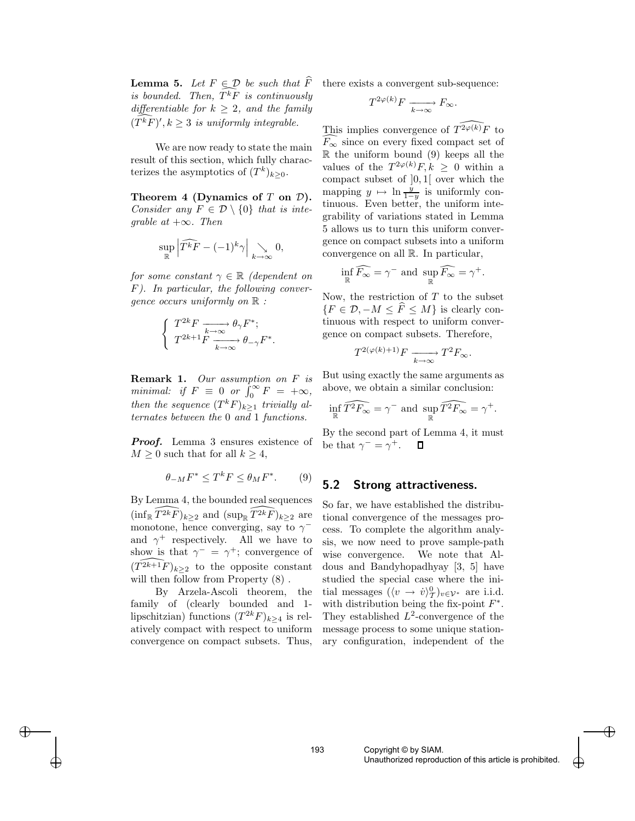**Lemma 5.** Let  $F \subseteq D$  be such that F is bounded. Then,  $T^k F$  is continuously differentiable for  $k \geq 2$ , and the family  $(T^k F)$ ',  $k \geq 3$  is uniformly integrable.

We are now ready to state the main result of this section, which fully characterizes the asymptotics of  $(T^k)_{k\geq 0}$ .

Theorem 4 (Dynamics of  $T$  on  $\mathcal{D}$ ). Consider any  $F \in \mathcal{D} \setminus \{0\}$  that is integrable at  $+\infty$ . Then

$$
\sup_{\mathbb{R}} \left| \widehat{T^k F} - (-1)^k \gamma \right| \underset{k \to \infty}{\searrow} 0,
$$

for some constant  $\gamma \in \mathbb{R}$  (dependent on F). In particular, the following convergence occurs uniformly on  $\mathbb R$ :

$$
\left\{ \begin{array}{c} T^{2k}F \xrightarrow[k\to\infty]{} \theta_\gamma F^*; \\ T^{2k+1}F \xrightarrow[k\to\infty]{} \theta_{-\gamma} F^*. \end{array} \right.
$$

**Remark 1.** Our assumption on F is minimal: if  $F \equiv 0$  or  $\int_0^\infty$  $\int_0^\infty F = +\infty,$ then the sequence  $(T^k F)_{k \geq 1}$  trivially alternates between the 0 and 1 functions.

**Proof.** Lemma 3 ensures existence of  $M \geq 0$  such that for all  $k \geq 4$ ,

$$
\theta_{-M} F^* \le T^k F \le \theta_M F^*.
$$
 (9)

By Lemma 4, the bounded real sequences  $(\inf_{\mathbb{R}} \widehat{T^{2k}F})_{k\geq 2}$  and  $(\sup_{\mathbb{R}} \widehat{T^{2k}F})_{k\geq 2}$  are monotone, hence converging, say to  $\gamma$ <sup>-</sup> and  $\gamma^+$  respectively. All we have to show is that  $\gamma^- = \gamma^+$ ; convergence of  $(\widehat{T^{2k+1}F})_{k\geq 2}$  to the opposite constant will then follow from Property  $(8)$ .

By Arzela-Ascoli theorem, the family of (clearly bounded and 1 lipschitzian) functions  $(T^{2k}F)_{k\geq 4}$  is relatively compact with respect to uniform convergence on compact subsets. Thus,

 $\rightarrow$ 

✐

there exists a convergent sub-sequence:

$$
T^{2\varphi(k)}F \xrightarrow[k \to \infty]{} F_{\infty}.
$$

This implies convergence of  $\widehat{T^{2\varphi(k)}F}$  to  $\widetilde{F_{\infty}}$  since on every fixed compact set of  $\mathbb R$  the uniform bound (9) keeps all the values of the  $T^{2\varphi(k)}F, k \geq 0$  within a compact subset of ]0 , 1[ over which the mapping  $y \mapsto \ln \frac{y}{1-y}$  is uniformly continuous. Even better, the uniform integrability of variations stated in Lemma 5 allows us to turn this uniform convergence on compact subsets into a uniform convergence on all R. In particular,

$$
\inf_{\mathbb{R}} \widehat{F_{\infty}} = \gamma^- \text{ and } \sup_{\mathbb{R}} \widehat{F_{\infty}} = \gamma^+.
$$

Now, the restriction of T to the subset  ${F \in \mathcal{D}, -M \leq F \leq M}$  is clearly continuous with respect to uniform convergence on compact subsets. Therefore,

$$
T^{2(\varphi(k)+1)}F \xrightarrow[k \to \infty]{} T^2F_{\infty}.
$$

But using exactly the same arguments as above, we obtain a similar conclusion:

$$
\inf_{\mathbb{R}} \widehat{T^2 F_\infty} = \gamma^- \text{ and } \sup_{\mathbb{R}} \widehat{T^2 F_\infty} = \gamma^+.
$$

By the second part of Lemma 4, it must be that  $\gamma^- = \gamma^+$ . 口

#### 5.2 Strong attractiveness.

So far, we have established the distributional convergence of the messages process. To complete the algorithm analysis, we now need to prove sample-path wise convergence. We note that Aldous and Bandyhopadhyay [3, 5] have studied the special case where the initial messages  $(\langle v \rightarrow \dot{v} \rangle^0_{\tau})_{v \in \mathcal{V}^*}$  are i.i.d. with distribution being the fix-point  $F^*$ . They established  $L^2$ -convergence of the message process to some unique stationary configuration, independent of the

✐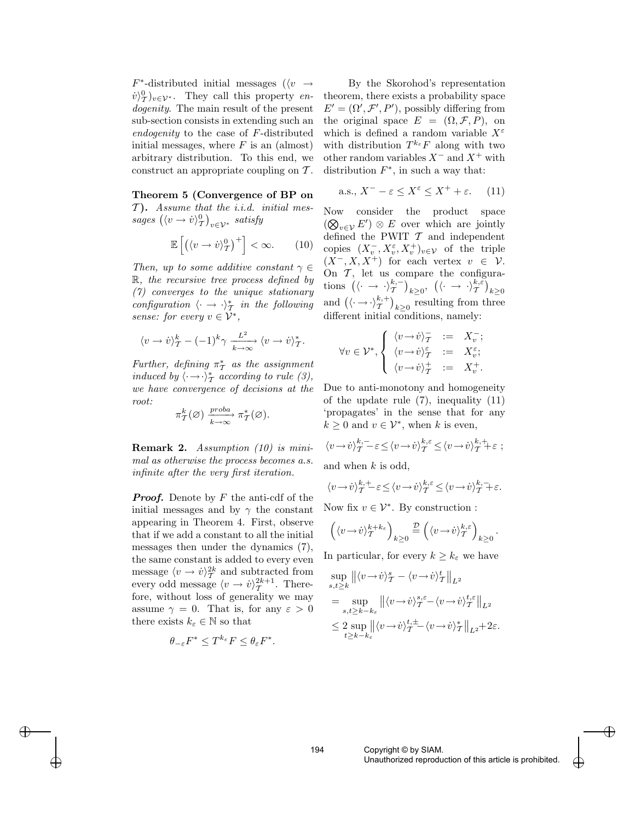$F^*$ -distributed initial messages ( $\langle v \rangle \rightarrow$  $\langle \dot{v} \rangle^0_{\mathcal{T}} \rangle_{v \in \mathcal{V}^*}$ . They call this property endogenity. The main result of the present sub-section consists in extending such an endogenity to the case of F-distributed initial messages, where  $F$  is an (almost) arbitrary distribution. To this end, we construct an appropriate coupling on T .

Theorem 5 (Convergence of BP on  $\mathcal{T}$ ). Assume that the *i.i.d.* initial messages  $(\langle v \rightarrow \dot{v} \rangle^0_{\mathcal{T}})_{v \in \mathcal{V}^*}$  satisfy

$$
\mathbb{E}\left[\left(\langle v \to \dot{v} \rangle_T^0\right)^+\right] < \infty. \tag{10}
$$

Then, up to some additive constant  $\gamma \in$  $\mathbb{R}$ , the recursive tree process defined by (7) converges to the unique stationary configuration  $\langle \cdot \rightarrow \cdot \rangle_{\mathcal{T}}^*$  in the following sense: for every  $v \in \mathcal{V}^*$ ,

$$
\langle v \rightarrow \dot{v} \rangle^k_{\mathcal{T}} - (-1)^k \gamma \xrightarrow[k \rightarrow \infty]{L^2} \langle v \rightarrow \dot{v} \rangle^*_{\mathcal{T}}.
$$

Further, defining  $\pi^*$  as the assignment induced by  $\langle \cdot \rightarrow \cdot \rangle_{\mathcal{T}}^*$  according to rule (3), we have convergence of decisions at the root:

$$
\pi^k_\mathcal{T}(\varnothing) \xrightarrow[k \to \infty]{\text{proba}} \pi^*_\mathcal{T}(\varnothing).
$$

Remark 2. Assumption (10) is minimal as otherwise the process becomes a.s. infinite after the very first iteration.

**Proof.** Denote by  $F$  the anti-cdf of the initial messages and by  $\gamma$  the constant appearing in Theorem 4. First, observe that if we add a constant to all the initial messages then under the dynamics (7), the same constant is added to every even message  $\langle v \to \dot{v} \rangle^{2k}_{\mathcal{T}}$  and subtracted from every odd message  $\langle v \rightarrow \dot{v} \rangle_{\mathcal{T}}^{2k+1}$ . Therefore, without loss of generality we may assume  $\gamma = 0$ . That is, for any  $\varepsilon > 0$ there exists  $k_{\varepsilon} \in \mathbb{N}$  so that

$$
\theta_{-\varepsilon} F^* \le T^{k_{\varepsilon}} F \le \theta_{\varepsilon} F^*.
$$

 $\rightarrow$ 

✐

By the Skorohod's representation theorem, there exists a probability space  $E' = (\Omega', \mathcal{F}', P')$ , possibly differing from the original space  $E = (\Omega, \mathcal{F}, P)$ , on which is defined a random variable  $X^{\varepsilon}$ with distribution  $T^{k_{\varepsilon}}F$  along with two other random variables  $X^-$  and  $X^+$  with distribution  $F^*$ , in such a way that:

$$
\text{a.s., } X^- - \varepsilon \le X^{\varepsilon} \le X^+ + \varepsilon. \tag{11}
$$

Now consider the product space  $(\bigotimes_{v\in\mathcal{V}} E') \otimes E$  over which are jointly defined the PWIT  $\mathcal T$  and independent copies  $(X_v^-, X_v^{\varepsilon}, X_v^+)_{v \in \mathcal{V}}$  of the triple  $(X^-, X, X^+)$  for each vertex  $v \in \mathcal{V}$ . On  $\mathcal{T}$ , let us compare the configurations  $(\langle \cdot \rightarrow \cdot \rangle_{\mathcal{T}}^{k,-} )_{k\geq 0}, \ (\langle \cdot \rightarrow \cdot \rangle_{\mathcal{T}}^{k,\varepsilon} )_{k\geq 0}$ and  $\left(\langle \cdot \rightarrow \cdot \rangle_{\mathcal{T}}^{k,+}\right)_{k\geq 0}$  resulting from three different initial conditions, namely:

$$
\forall v \in \mathcal{V}^*, \begin{cases} \langle v \rightarrow v \rangle_{\mathcal{T}}^{-} &:= X_v^{-};\\ \langle v \rightarrow v \rangle_{\mathcal{T}}^{ \varepsilon} &:= X_v^{\varepsilon};\\ \langle v \rightarrow v \rangle_{\mathcal{T}}^{+} &:= X_v^{+}. \end{cases}
$$

Due to anti-monotony and homogeneity of the update rule (7), inequality (11) 'propagates' in the sense that for any  $k \geq 0$  and  $v \in \mathcal{V}^*$ , when k is even,

$$
\langle v \rightarrow \dot{v} \rangle_{\mathcal{T}}^{k,-} - \varepsilon \le \langle v \rightarrow \dot{v} \rangle_{\mathcal{T}}^{k,\varepsilon} \le \langle v \rightarrow \dot{v} \rangle_{\mathcal{T}}^{k,+} + \varepsilon ;
$$

and when  $k$  is odd,

$$
\langle v\!\rightarrow\!\dot{v}\rangle^{k,+}_\mathcal{T}\!\!\!\!- \varepsilon \!\leq\! \langle v\!\rightarrow\!\dot{v}\rangle^{k,\varepsilon}_\mathcal{T}\!\leq\! \langle v\!\rightarrow\!\dot{v}\rangle^{k,-}_\mathcal{T}\!\!\!\!+ \varepsilon.
$$

Now fix  $v \in \mathcal{V}^*$ . By construction :

$$
\left(\langle v\!\rightarrow\!v\rangle^{k+k_\varepsilon}_\mathcal{T}\right)_{k\geq 0}\stackrel{\mathcal{D}}{=} \left(\langle v\!\rightarrow\!v\rangle^{k,\varepsilon}_\mathcal{T}\right)_{k\geq 0}.
$$

In particular, for every  $k \geq k_{\varepsilon}$  we have

$$
\sup_{s,t\geq k} \left\| \langle v \rightarrow \dot{v} \rangle^s_{\mathcal{T}} - \langle v \rightarrow \dot{v} \rangle^t_{\mathcal{T}} \right\|_{L^2}
$$
  
\n
$$
= \sup_{s,t\geq k-k_\varepsilon} \left\| \langle v \rightarrow \dot{v} \rangle^s_{\mathcal{T}} \varepsilon - \langle v \rightarrow \dot{v} \rangle^t_{\mathcal{T}} \right\|_{L^2}
$$
  
\n
$$
\leq 2 \sup_{t\geq k-k_\varepsilon} \left\| \langle v \rightarrow \dot{v} \rangle^t_{\mathcal{T}} + \langle v \rightarrow \dot{v} \rangle^t_{\mathcal{T}} \right\|_{L^2} + 2\varepsilon.
$$

 $\bigoplus$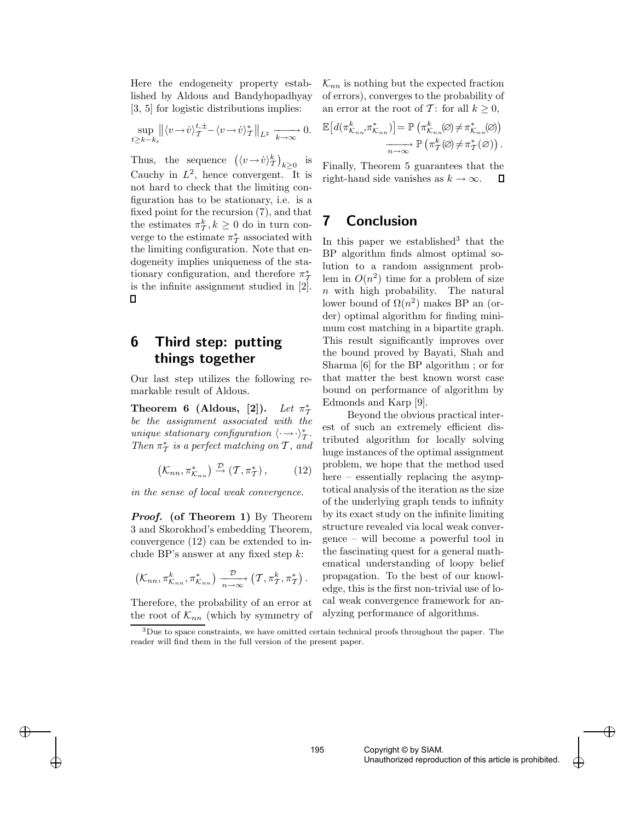Here the endogeneity property established by Aldous and Bandyhopadhyay [3, 5] for logistic distributions implies:

$$
\sup_{t\geq k-k_{\varepsilon}}\left\|\langle v-\dot{v}\rangle_{\mathcal{T}}^{t,\pm}-\langle v-\dot{v}\rangle_{\mathcal{T}}^{*}\right\|_{L^{2}} \xrightarrow[k\to\infty]{} 0.
$$

Thus, the sequence  $(\langle v \rightarrow \dot{v} \rangle_{\mathcal{T}}^k)_{k \geq 0}$  is Cauchy in  $L^2$ , hence convergent. It is not hard to check that the limiting configuration has to be stationary, i.e. is a fixed point for the recursion (7), and that the estimates  $\pi^k_{\mathcal{T}}, k \geq 0$  do in turn converge to the estimate  $\pi^*_\mathcal{T}$  associated with the limiting configuration. Note that endogeneity implies uniqueness of the stationary configuration, and therefore  $\pi^*$ is the infinite assignment studied in [2].  $\Box$ 

# 6 Third step: putting things together

Our last step utilizes the following remarkable result of Aldous.

Theorem 6 (Aldous,  $[2]$ ).  $\pi^*_I$ be the assignment associated with the unique stationary configuration  $\langle \cdot \rightarrow \cdot \rangle_{\mathcal{T}}^*$ . Then  $\pi^*$  is a perfect matching on  $\mathcal T$ , and

$$
(\mathcal{K}_{nn}, \pi_{\mathcal{K}_{nn}}^*) \stackrel{\mathcal{D}}{\rightarrow} (\mathcal{T}, \pi_{\mathcal{T}}^*) ,\qquad (12)
$$

in the sense of local weak convergence.

Proof. (of Theorem 1) By Theorem 3 and Skorokhod's embedding Theorem, convergence (12) can be extended to include BP's answer at any fixed step  $k$ :

$$
(\mathcal{K}_{nn}, \pi^k_{\mathcal{K}_{nn}}, \pi^*_{\mathcal{K}_{nn}}) \xrightarrow[n \to \infty]{\mathcal{D}} (\mathcal{T}, \pi^k_{\mathcal{T}}, \pi^*_{\mathcal{T}}).
$$

Therefore, the probability of an error at the root of  $\mathcal{K}_{nn}$  (which by symmetry of

 $\rightarrow$ 

✐

 $\mathcal{K}_{nn}$  is nothing but the expected fraction of errors), converges to the probability of an error at the root of T: for all  $k \geq 0$ ,

$$
\mathbb{E}\big[d(\pi_{\mathcal{K}_{nn}}^k, \pi_{\mathcal{K}_{nn}}^*)\big] = \mathbb{P}\left(\pi_{\mathcal{K}_{nn}}^k(\varnothing) \neq \pi_{\mathcal{K}_{nn}}^*(\varnothing)\right)
$$

$$
\xrightarrow[n \to \infty]{} \mathbb{P}\left(\pi_T^k(\varnothing) \neq \pi_T^*(\varnothing)\right).
$$

Finally, Theorem 5 guarantees that the right-hand side vanishes as  $k \to \infty$ . Д

## 7 Conclusion

In this paper we established<sup>3</sup> that the BP algorithm finds almost optimal solution to a random assignment problem in  $O(n^2)$  time for a problem of size n with high probability. The natural lower bound of  $\Omega(n^2)$  makes BP an (order) optimal algorithm for finding minimum cost matching in a bipartite graph. This result significantly improves over the bound proved by Bayati, Shah and Sharma [6] for the BP algorithm ; or for that matter the best known worst case bound on performance of algorithm by Edmonds and Karp [9].

Beyond the obvious practical interest of such an extremely efficient distributed algorithm for locally solving huge instances of the optimal assignment problem, we hope that the method used here – essentially replacing the asymptotical analysis of the iteration as the size of the underlying graph tends to infinity by its exact study on the infinite limiting structure revealed via local weak convergence – will become a powerful tool in the fascinating quest for a general mathematical understanding of loopy belief propagation. To the best of our knowledge, this is the first non-trivial use of local weak convergence framework for analyzing performance of algorithms.

 $\bigoplus$ 

 $3$ Due to space constraints, we have omitted certain technical proofs throughout the paper. The reader will find them in the full version of the present paper.